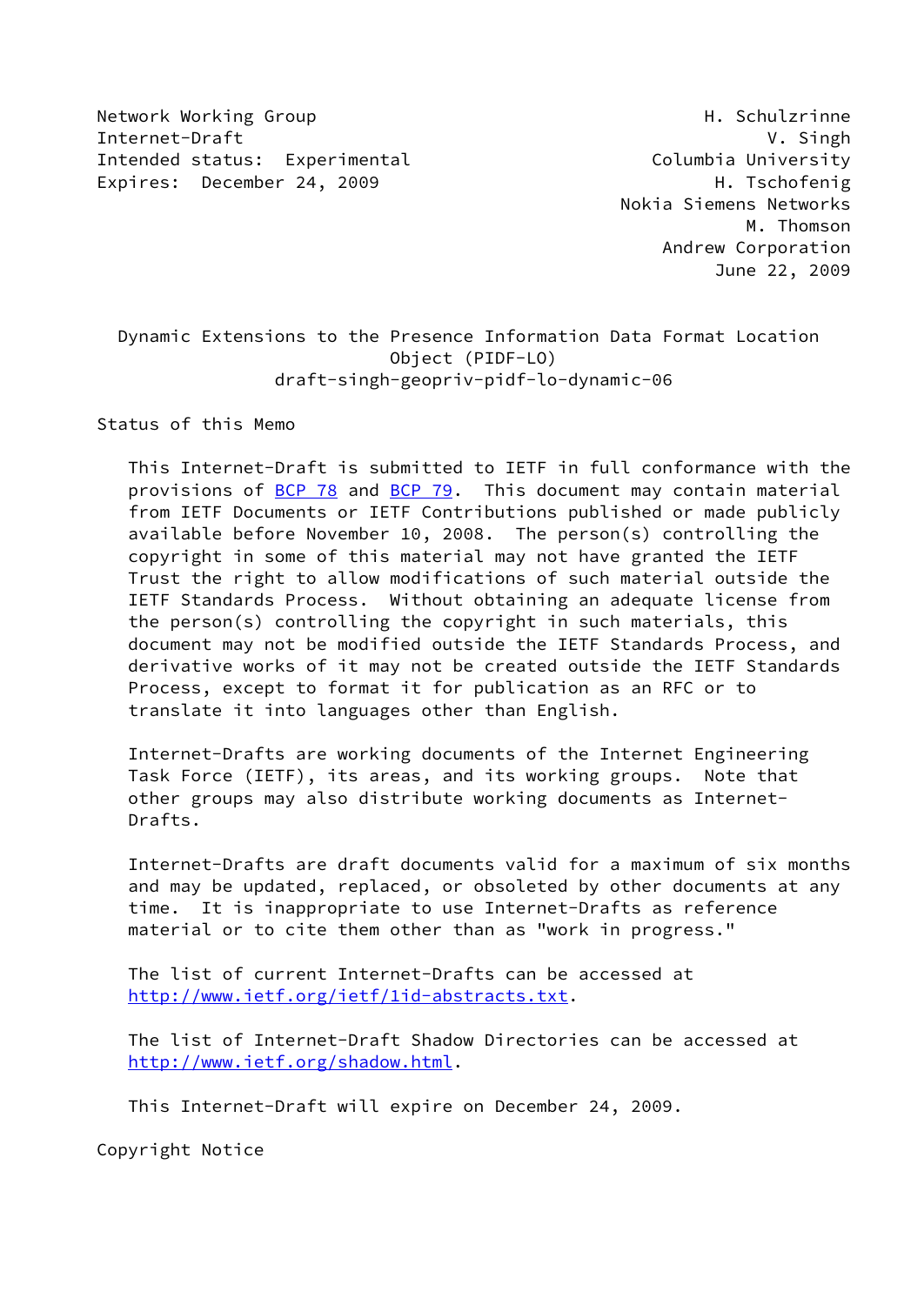Network Working Group **H. Schulzrinne** Internet-Draft V. Singh Intended status: Experimental Columbia University Expires: December 24, 2009 H. Tschofenig

 Nokia Siemens Networks M. Thomson Andrew Corporation June 22, 2009

 Dynamic Extensions to the Presence Information Data Format Location Object (PIDF-LO) draft-singh-geopriv-pidf-lo-dynamic-06

Status of this Memo

 This Internet-Draft is submitted to IETF in full conformance with the provisions of [BCP 78](https://datatracker.ietf.org/doc/pdf/bcp78) and [BCP 79](https://datatracker.ietf.org/doc/pdf/bcp79). This document may contain material from IETF Documents or IETF Contributions published or made publicly available before November 10, 2008. The person(s) controlling the copyright in some of this material may not have granted the IETF Trust the right to allow modifications of such material outside the IETF Standards Process. Without obtaining an adequate license from the person(s) controlling the copyright in such materials, this document may not be modified outside the IETF Standards Process, and derivative works of it may not be created outside the IETF Standards Process, except to format it for publication as an RFC or to translate it into languages other than English.

 Internet-Drafts are working documents of the Internet Engineering Task Force (IETF), its areas, and its working groups. Note that other groups may also distribute working documents as Internet- Drafts.

 Internet-Drafts are draft documents valid for a maximum of six months and may be updated, replaced, or obsoleted by other documents at any time. It is inappropriate to use Internet-Drafts as reference material or to cite them other than as "work in progress."

 The list of current Internet-Drafts can be accessed at <http://www.ietf.org/ietf/1id-abstracts.txt>.

 The list of Internet-Draft Shadow Directories can be accessed at <http://www.ietf.org/shadow.html>.

This Internet-Draft will expire on December 24, 2009.

Copyright Notice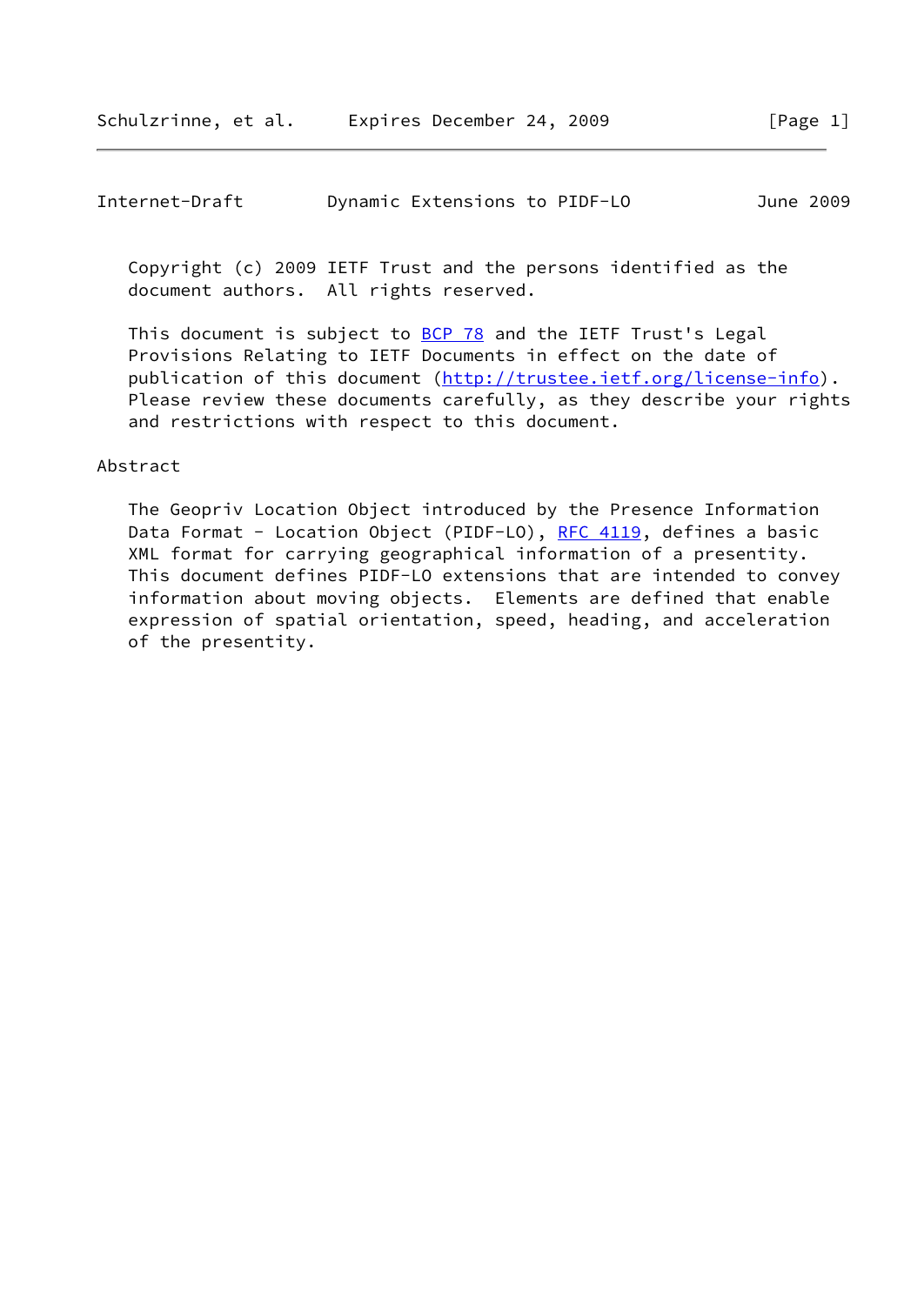Copyright (c) 2009 IETF Trust and the persons identified as the document authors. All rights reserved.

This document is subject to **[BCP 78](https://datatracker.ietf.org/doc/pdf/bcp78)** and the IETF Trust's Legal Provisions Relating to IETF Documents in effect on the date of publication of this document [\(http://trustee.ietf.org/license-info](http://trustee.ietf.org/license-info)). Please review these documents carefully, as they describe your rights and restrictions with respect to this document.

### Abstract

 The Geopriv Location Object introduced by the Presence Information Data Format - Location Object (PIDF-LO), [RFC 4119](https://datatracker.ietf.org/doc/pdf/rfc4119), defines a basic XML format for carrying geographical information of a presentity. This document defines PIDF-LO extensions that are intended to convey information about moving objects. Elements are defined that enable expression of spatial orientation, speed, heading, and acceleration of the presentity.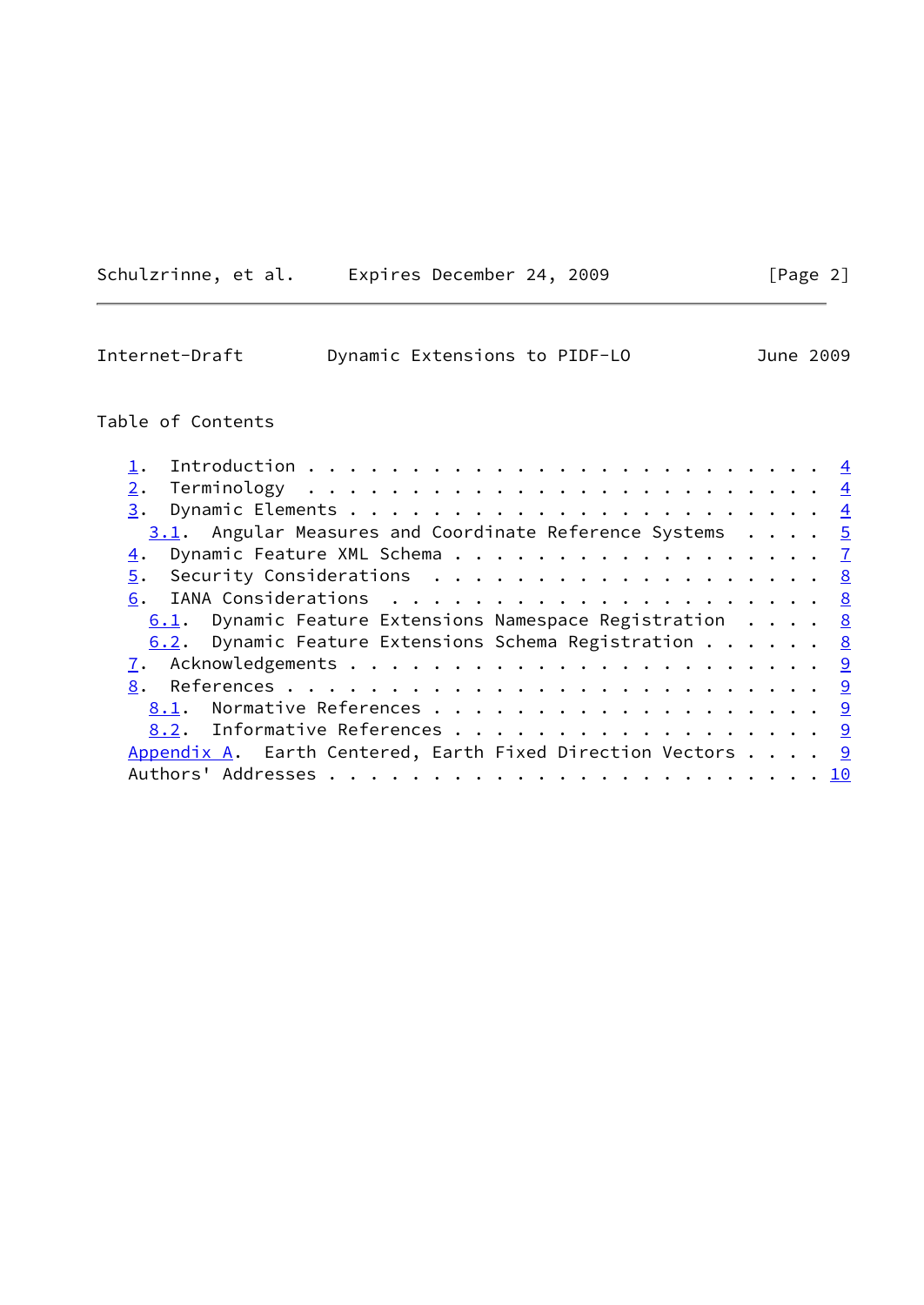|  | Schulzrinne, et al. |  |  | Expires December 24, 2009 |  |  |
|--|---------------------|--|--|---------------------------|--|--|
|--|---------------------|--|--|---------------------------|--|--|

| Internet-Draft | Dynamic Extensions to PIDF-LO |  | June 2009 |  |
|----------------|-------------------------------|--|-----------|--|
|                |                               |  |           |  |

 $[Page 2]$ 

# Table of Contents

| 2.                                                                  |  |  |  |
|---------------------------------------------------------------------|--|--|--|
|                                                                     |  |  |  |
| $3.1$ . Angular Measures and Coordinate Reference Systems $5$       |  |  |  |
| 4. Dynamic Feature XML Schema 7                                     |  |  |  |
|                                                                     |  |  |  |
|                                                                     |  |  |  |
| 6.1. Dynamic Feature Extensions Namespace Registration $\ldots$ . 8 |  |  |  |
| 6.2. Dynamic Feature Extensions Schema Registration 8               |  |  |  |
|                                                                     |  |  |  |
|                                                                     |  |  |  |
|                                                                     |  |  |  |
| 8.2. Informative References 9                                       |  |  |  |
| Appendix A. Earth Centered, Earth Fixed Direction Vectors $9$       |  |  |  |
|                                                                     |  |  |  |
|                                                                     |  |  |  |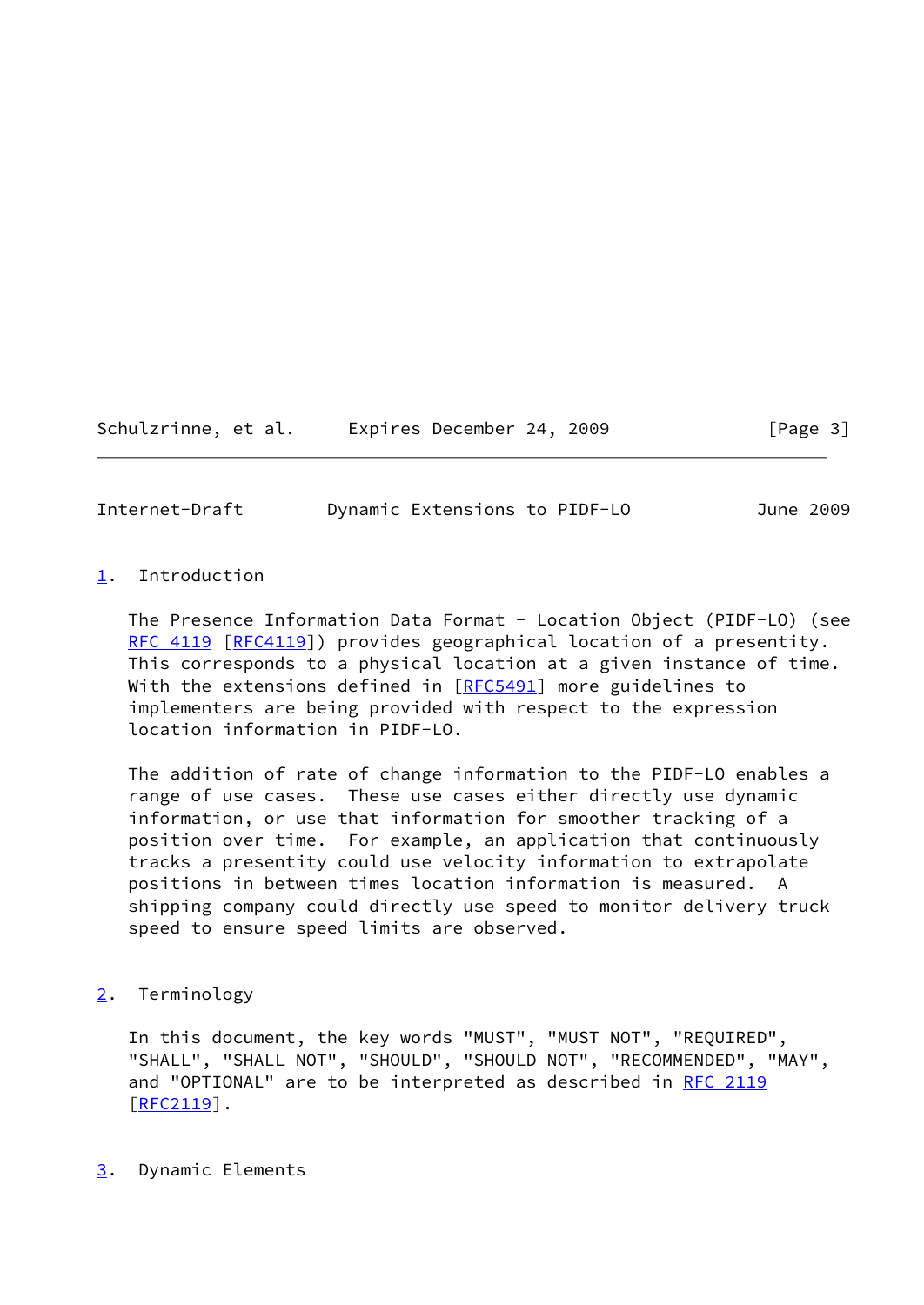Schulzrinne, et al. Expires December 24, 2009 [Page 3]

<span id="page-3-1"></span>Internet-Draft Dynamic Extensions to PIDF-LO June 2009

## <span id="page-3-0"></span>[1](#page-3-0). Introduction

 The Presence Information Data Format - Location Object (PIDF-LO) (see [RFC 4119](https://datatracker.ietf.org/doc/pdf/rfc4119) [\[RFC4119](https://datatracker.ietf.org/doc/pdf/rfc4119)]) provides geographical location of a presentity. This corresponds to a physical location at a given instance of time. With the extensions defined in [\[RFC5491](https://datatracker.ietf.org/doc/pdf/rfc5491)] more guidelines to implementers are being provided with respect to the expression location information in PIDF-LO.

 The addition of rate of change information to the PIDF-LO enables a range of use cases. These use cases either directly use dynamic information, or use that information for smoother tracking of a position over time. For example, an application that continuously tracks a presentity could use velocity information to extrapolate positions in between times location information is measured. A shipping company could directly use speed to monitor delivery truck speed to ensure speed limits are observed.

## <span id="page-3-2"></span>[2](#page-3-2). Terminology

 In this document, the key words "MUST", "MUST NOT", "REQUIRED", "SHALL", "SHALL NOT", "SHOULD", "SHOULD NOT", "RECOMMENDED", "MAY", and "OPTIONAL" are to be interpreted as described in [RFC 2119](https://datatracker.ietf.org/doc/pdf/rfc2119) [\[RFC2119](https://datatracker.ietf.org/doc/pdf/rfc2119)].

<span id="page-3-3"></span>[3](#page-3-3). Dynamic Elements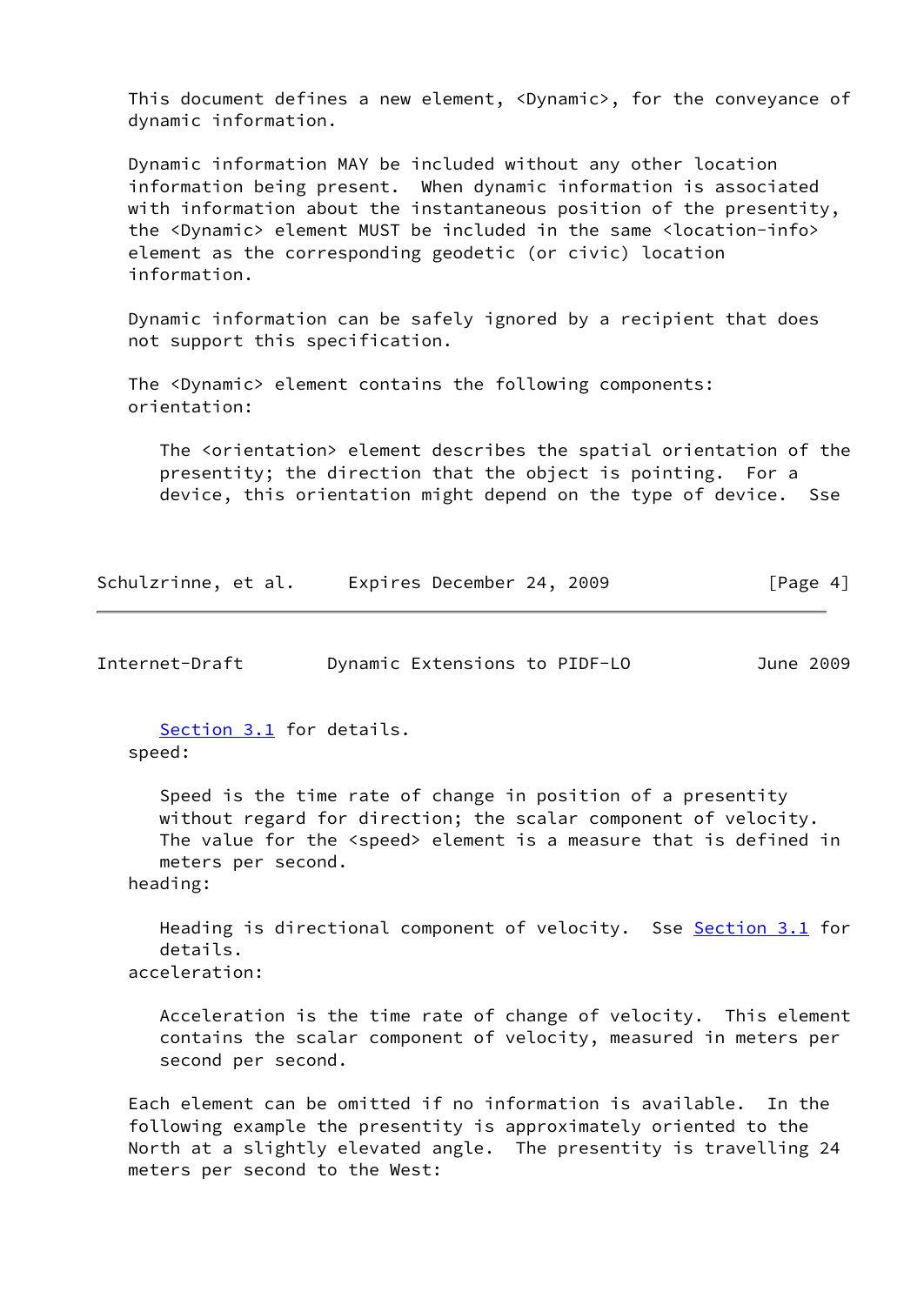This document defines a new element, <Dynamic>, for the conveyance of dynamic information.

 Dynamic information MAY be included without any other location information being present. When dynamic information is associated with information about the instantaneous position of the presentity, the <Dynamic> element MUST be included in the same <location-info> element as the corresponding geodetic (or civic) location information.

 Dynamic information can be safely ignored by a recipient that does not support this specification.

 The <Dynamic> element contains the following components: orientation:

 The <orientation> element describes the spatial orientation of the presentity; the direction that the object is pointing. For a device, this orientation might depend on the type of device. Sse

Schulzrinne, et al. Expires December 24, 2009 [Page 4]

<span id="page-4-0"></span>Internet-Draft Dynamic Extensions to PIDF-LO June 2009

 [Section 3.1](#page-5-0) for details. speed:

 Speed is the time rate of change in position of a presentity without regard for direction; the scalar component of velocity. The value for the <speed> element is a measure that is defined in meters per second.

heading:

Heading is directional component of velocity. Sse [Section 3.1](#page-5-0) for details. acceleration:

 Acceleration is the time rate of change of velocity. This element contains the scalar component of velocity, measured in meters per second per second.

 Each element can be omitted if no information is available. In the following example the presentity is approximately oriented to the North at a slightly elevated angle. The presentity is travelling 24 meters per second to the West: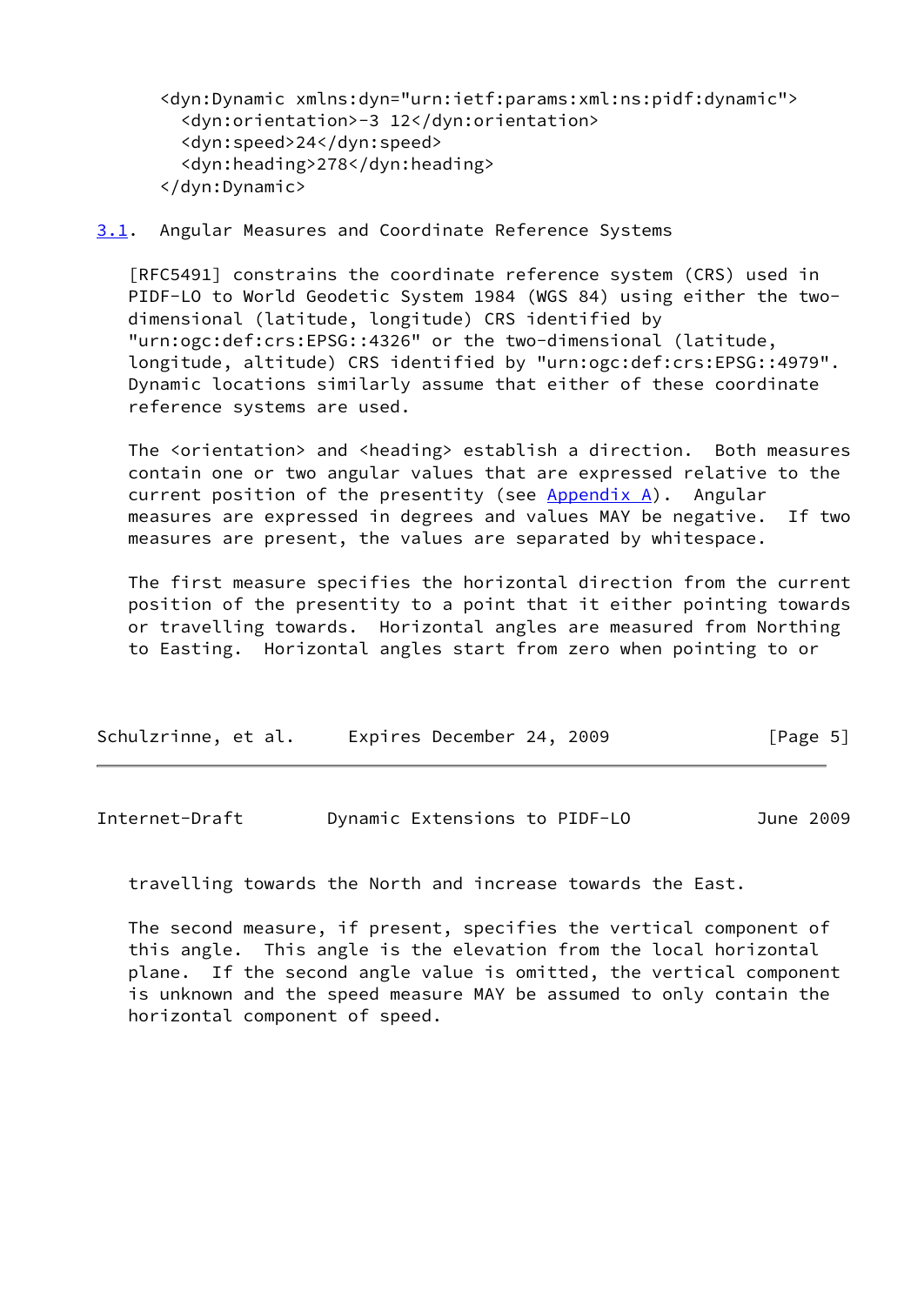<dyn:Dynamic xmlns:dyn="urn:ietf:params:xml:ns:pidf:dynamic"> <dyn:orientation>-3 12</dyn:orientation> <dyn:speed>24</dyn:speed> <dyn:heading>278</dyn:heading> </dyn:Dynamic>

### <span id="page-5-0"></span>[3.1](#page-5-0). Angular Measures and Coordinate Reference Systems

 [RFC5491] constrains the coordinate reference system (CRS) used in PIDF-LO to World Geodetic System 1984 (WGS 84) using either the two dimensional (latitude, longitude) CRS identified by "urn:ogc:def:crs:EPSG::4326" or the two-dimensional (latitude, longitude, altitude) CRS identified by "urn:ogc:def:crs:EPSG::4979". Dynamic locations similarly assume that either of these coordinate reference systems are used.

 The <orientation> and <heading> establish a direction. Both measures contain one or two angular values that are expressed relative to the current position of the presentity (see  $Appendix A)$ . Angular measures are expressed in degrees and values MAY be negative. If two measures are present, the values are separated by whitespace.

 The first measure specifies the horizontal direction from the current position of the presentity to a point that it either pointing towards or travelling towards. Horizontal angles are measured from Northing to Easting. Horizontal angles start from zero when pointing to or

| Schulzrinne, et al. | Expires December 24, 2009 |  | [Page 5] |
|---------------------|---------------------------|--|----------|
|---------------------|---------------------------|--|----------|

| Internet-Draft | Dynamic Extensions to PIDF-LO | June 2009 |
|----------------|-------------------------------|-----------|
|----------------|-------------------------------|-----------|

travelling towards the North and increase towards the East.

 The second measure, if present, specifies the vertical component of this angle. This angle is the elevation from the local horizontal plane. If the second angle value is omitted, the vertical component is unknown and the speed measure MAY be assumed to only contain the horizontal component of speed.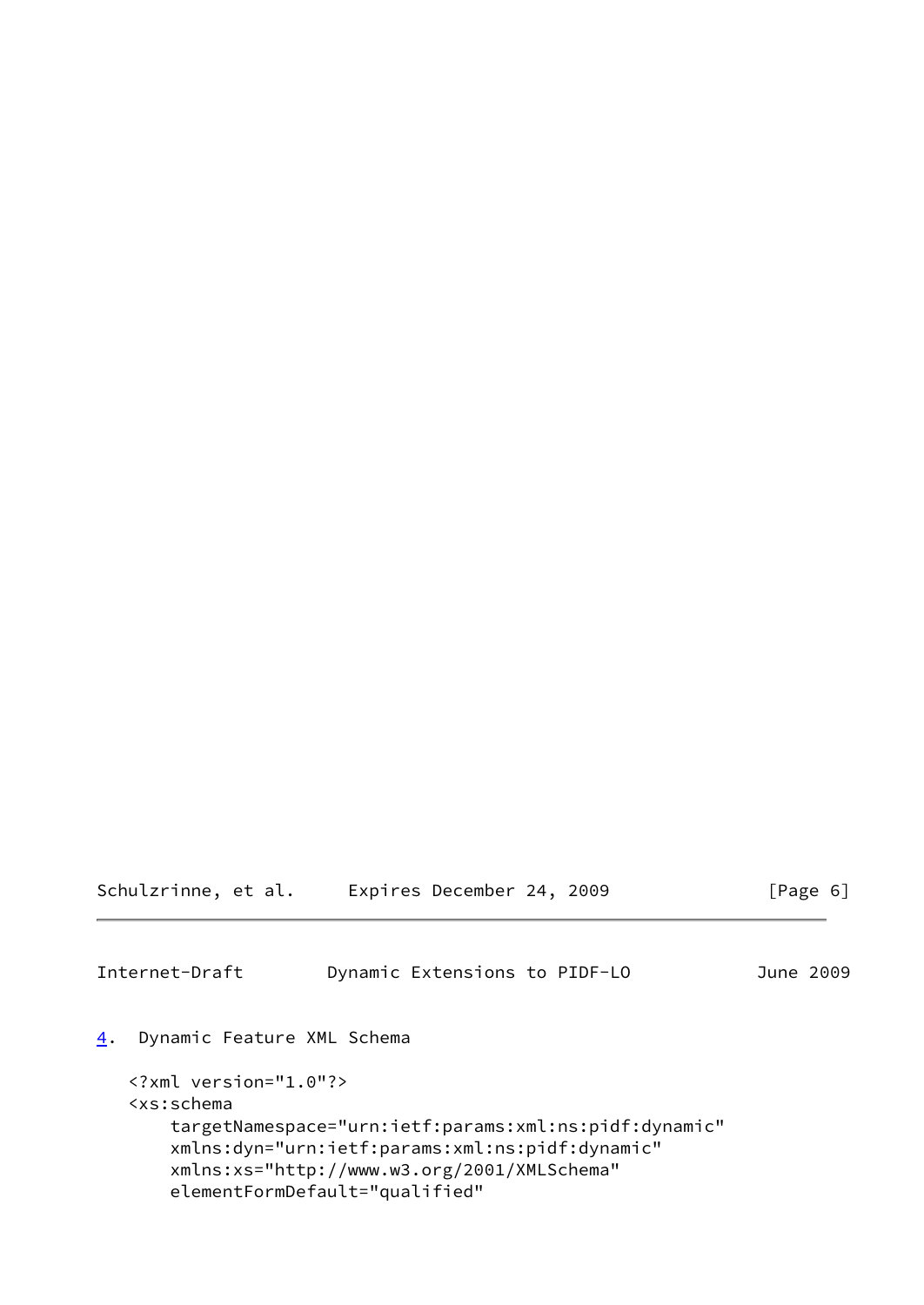<span id="page-6-1"></span>

| Schulzrinne, et al.                                                                                                                                     | Expires December 24, 2009                             | [Page 6]  |
|---------------------------------------------------------------------------------------------------------------------------------------------------------|-------------------------------------------------------|-----------|
| Internet-Draft                                                                                                                                          | Dynamic Extensions to PIDF-LO                         | June 2009 |
| 4.<br>Dynamic Feature XML Schema                                                                                                                        |                                                       |           |
| $\langle ? \times m1 \rangle$ version="1.0"?><br><xs:schema< td=""><th>targetNamespace="urn:ietf:params:xml:ns:pidf:dynamic"</th><td></td></xs:schema<> | targetNamespace="urn:ietf:params:xml:ns:pidf:dynamic" |           |

<span id="page-6-0"></span> xmlns:dyn="urn:ietf:params:xml:ns:pidf:dynamic" xmlns:xs="http://www.w3.org/2001/XMLSchema"

elementFormDefault="qualified"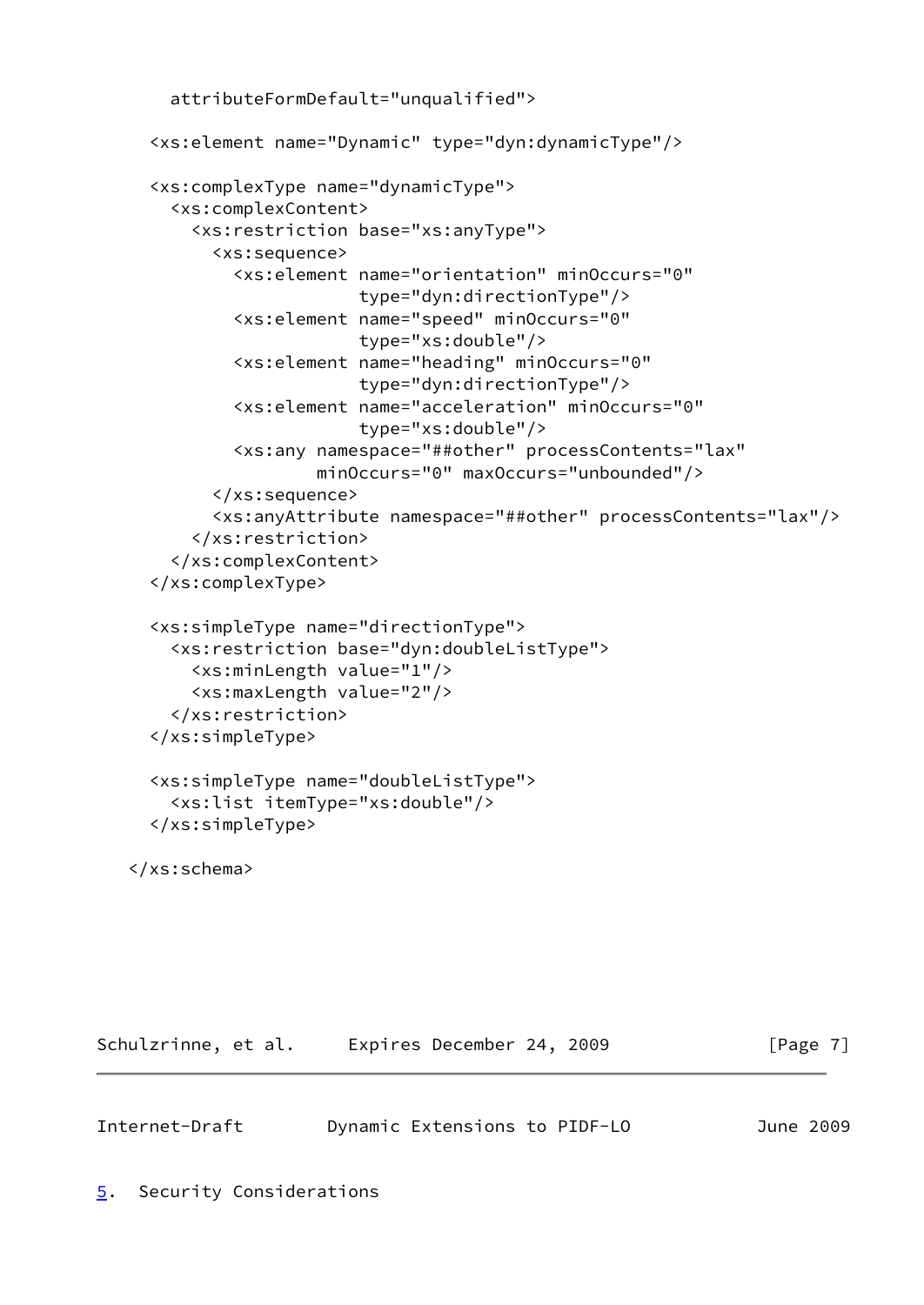```
 attributeFormDefault="unqualified">
  <xs:element name="Dynamic" type="dyn:dynamicType"/>
  <xs:complexType name="dynamicType">
    <xs:complexContent>
      <xs:restriction base="xs:anyType">
        <xs:sequence>
          <xs:element name="orientation" minOccurs="0"
                       type="dyn:directionType"/>
          <xs:element name="speed" minOccurs="0"
                       type="xs:double"/>
          <xs:element name="heading" minOccurs="0"
                       type="dyn:directionType"/>
          <xs:element name="acceleration" minOccurs="0"
                       type="xs:double"/>
          <xs:any namespace="##other" processContents="lax"
                  minOccurs="0" maxOccurs="unbounded"/>
        </xs:sequence>
        <xs:anyAttribute namespace="##other" processContents="lax"/>
      </xs:restriction>
    </xs:complexContent>
  </xs:complexType>
  <xs:simpleType name="directionType">
    <xs:restriction base="dyn:doubleListType">
      <xs:minLength value="1"/>
      <xs:maxLength value="2"/>
    </xs:restriction>
  </xs:simpleType>
  <xs:simpleType name="doubleListType">
    <xs:list itemType="xs:double"/>
  </xs:simpleType>
</xs:schema>
```
Schulzrinne, et al. Expires December 24, 2009 [Page 7]

<span id="page-7-1"></span><span id="page-7-0"></span>

| Internet-Draft | Dynamic Extensions to PIDF-LO |  | June 2009 |  |
|----------------|-------------------------------|--|-----------|--|
|                |                               |  |           |  |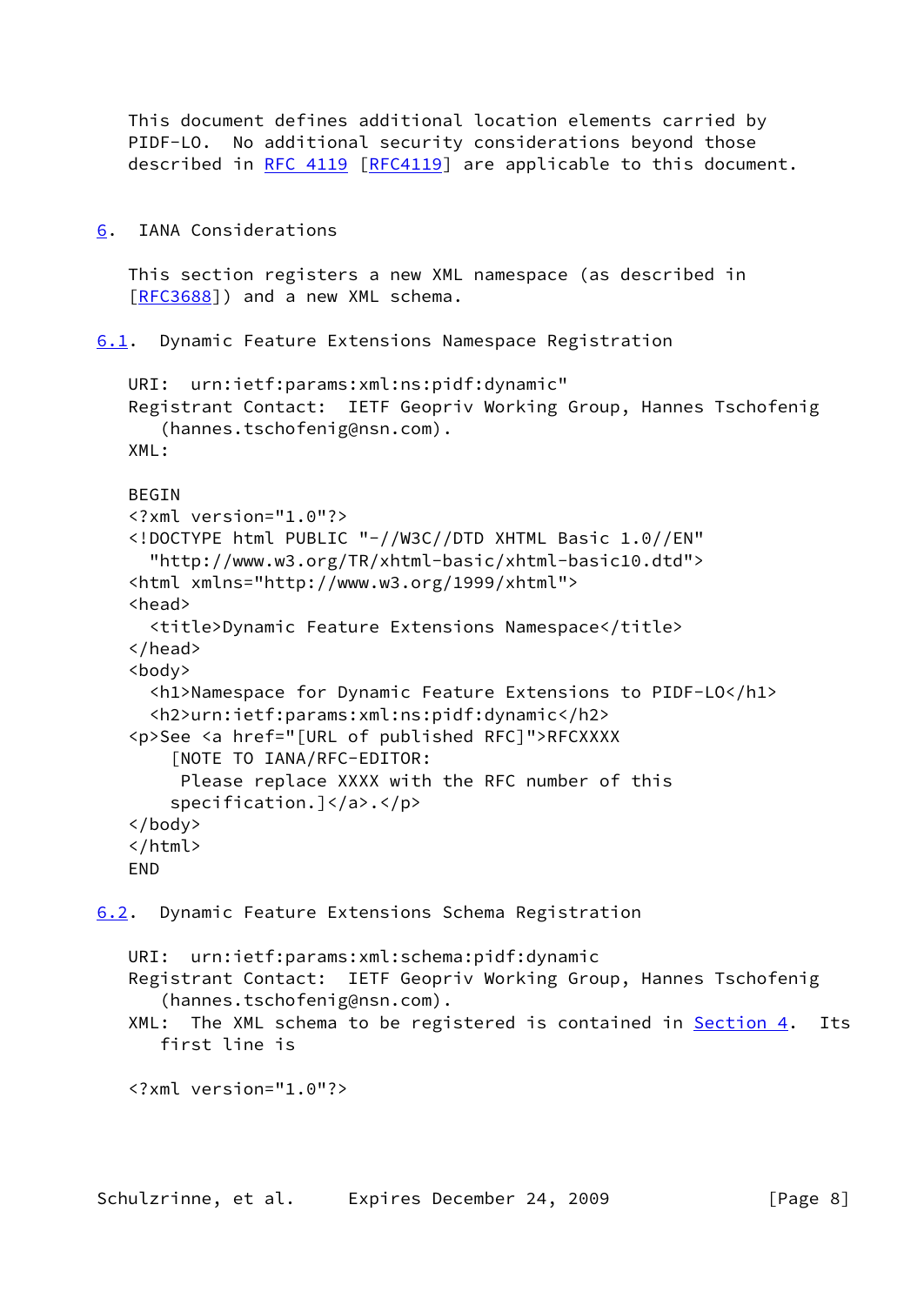This document defines additional location elements carried by PIDF-LO. No additional security considerations beyond those described in [RFC 4119](https://datatracker.ietf.org/doc/pdf/rfc4119) [[RFC4119](https://datatracker.ietf.org/doc/pdf/rfc4119)] are applicable to this document.

<span id="page-8-0"></span>[6](#page-8-0). IANA Considerations

 This section registers a new XML namespace (as described in [\[RFC3688](https://datatracker.ietf.org/doc/pdf/rfc3688)]) and a new XML schema.

<span id="page-8-1"></span>[6.1](#page-8-1). Dynamic Feature Extensions Namespace Registration

```
 URI: urn:ietf:params:xml:ns:pidf:dynamic"
Registrant Contact: IETF Geopriv Working Group, Hannes Tschofenig
   (hannes.tschofenig@nsn.com).
XML:
BEGIN
<?xml version="1.0"?>
<!DOCTYPE html PUBLIC "-//W3C//DTD XHTML Basic 1.0//EN"
  "http://www.w3.org/TR/xhtml-basic/xhtml-basic10.dtd">
<html xmlns="http://www.w3.org/1999/xhtml">
<head>
  <title>Dynamic Feature Extensions Namespace</title>
</head>
<body>
  <h1>Namespace for Dynamic Feature Extensions to PIDF-LO</h1>
  <h2>urn:ietf:params:xml:ns:pidf:dynamic</h2>
<p>See <a href="[URL of published RFC]">RFCXXXX
    [NOTE TO IANA/RFC-EDITOR:
     Please replace XXXX with the RFC number of this
   specification.]</a>.</p>
</body>
</html>
END
```
<span id="page-8-2"></span>[6.2](#page-8-2). Dynamic Feature Extensions Schema Registration

 URI: urn:ietf:params:xml:schema:pidf:dynamic Registrant Contact: IETF Geopriv Working Group, Hannes Tschofenig (hannes.tschofenig@nsn.com). XML: The XML schema to be registered is contained in [Section 4.](#page-6-0) Its first line is

<?xml version="1.0"?>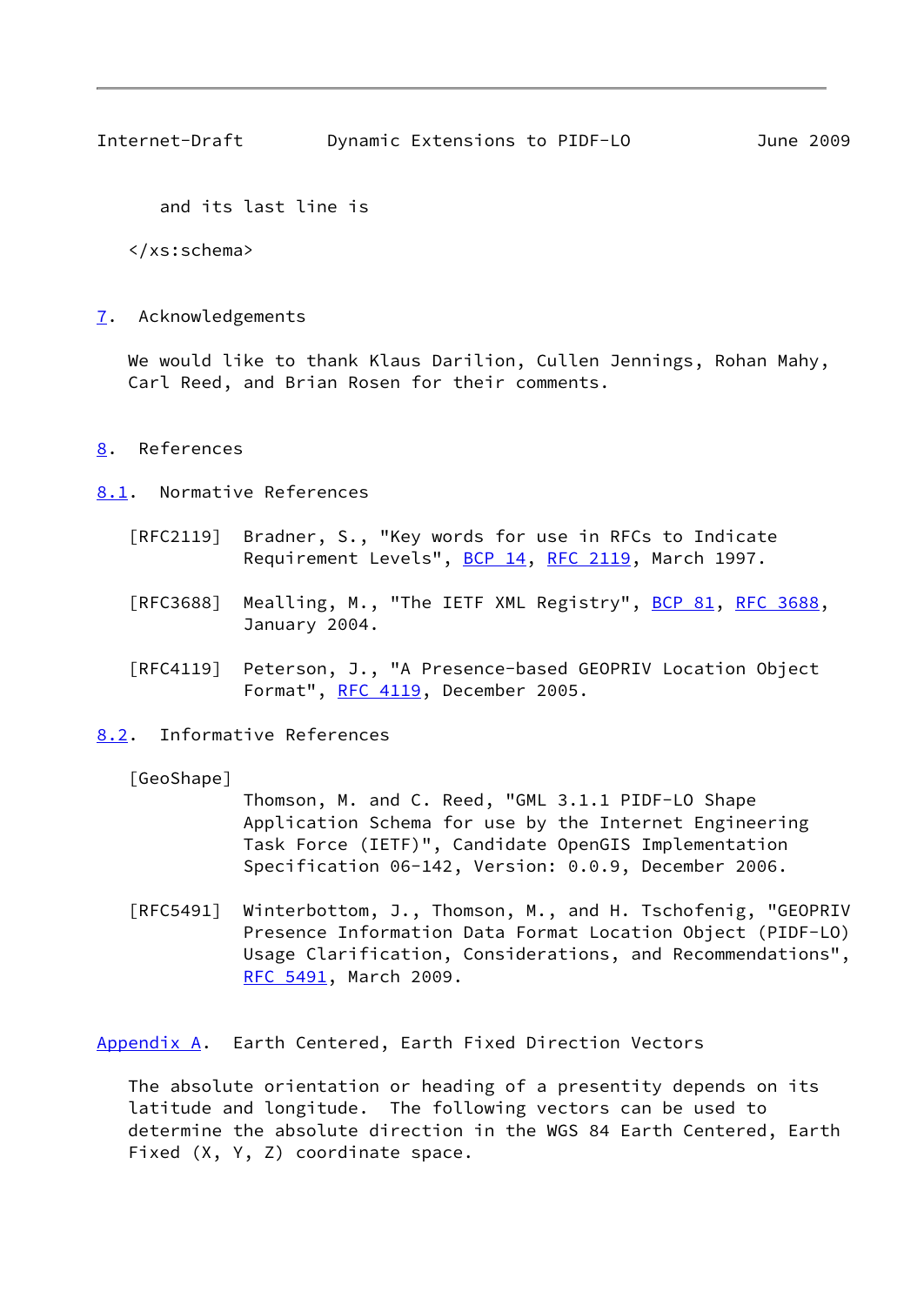<span id="page-9-1"></span>Internet-Draft Dynamic Extensions to PIDF-LO June 2009

and its last line is

</xs:schema>

<span id="page-9-0"></span>[7](#page-9-0). Acknowledgements

 We would like to thank Klaus Darilion, Cullen Jennings, Rohan Mahy, Carl Reed, and Brian Rosen for their comments.

<span id="page-9-2"></span>[8](#page-9-2). References

<span id="page-9-3"></span>[8.1](#page-9-3). Normative References

- [RFC2119] Bradner, S., "Key words for use in RFCs to Indicate Requirement Levels", [BCP 14](https://datatracker.ietf.org/doc/pdf/bcp14), [RFC 2119](https://datatracker.ietf.org/doc/pdf/rfc2119), March 1997.
- [RFC3688] Mealling, M., "The IETF XML Registry", [BCP 81](https://datatracker.ietf.org/doc/pdf/bcp81), [RFC 3688](https://datatracker.ietf.org/doc/pdf/rfc3688), January 2004.
- [RFC4119] Peterson, J., "A Presence-based GEOPRIV Location Object Format", [RFC 4119,](https://datatracker.ietf.org/doc/pdf/rfc4119) December 2005.

<span id="page-9-4"></span>[8.2](#page-9-4). Informative References

[GeoShape]

 Thomson, M. and C. Reed, "GML 3.1.1 PIDF-LO Shape Application Schema for use by the Internet Engineering Task Force (IETF)", Candidate OpenGIS Implementation Specification 06-142, Version: 0.0.9, December 2006.

 [RFC5491] Winterbottom, J., Thomson, M., and H. Tschofenig, "GEOPRIV Presence Information Data Format Location Object (PIDF-LO) Usage Clarification, Considerations, and Recommendations", [RFC 5491,](https://datatracker.ietf.org/doc/pdf/rfc5491) March 2009.

<span id="page-9-5"></span>[Appendix A.](#page-9-5) Earth Centered, Earth Fixed Direction Vectors

 The absolute orientation or heading of a presentity depends on its latitude and longitude. The following vectors can be used to determine the absolute direction in the WGS 84 Earth Centered, Earth Fixed (X, Y, Z) coordinate space.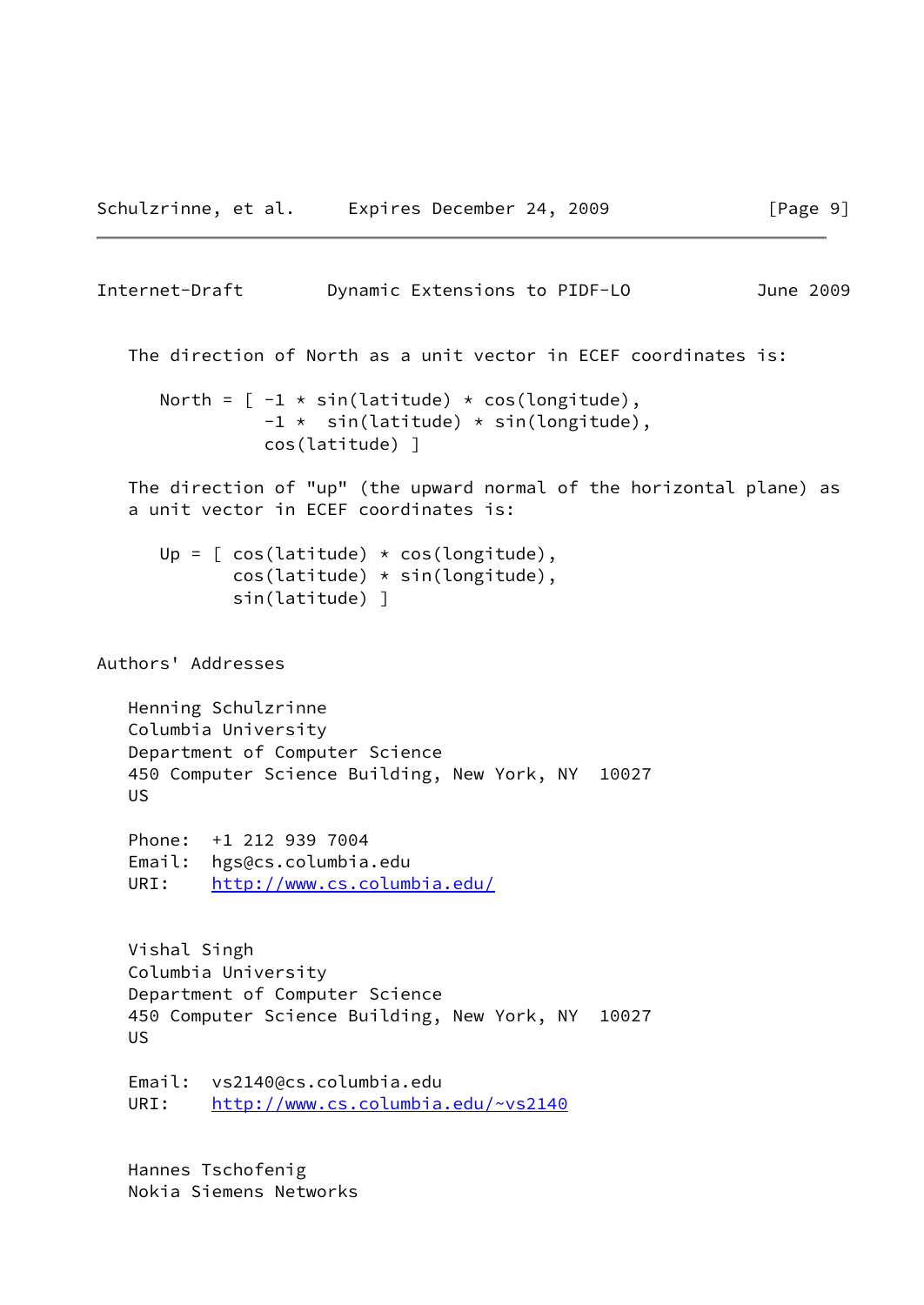```
Internet-Draft Dynamic Extensions to PIDF-LO June 2009
```
The direction of North as a unit vector in ECEF coordinates is:

```
North = [-1 * sin(latitude) * cos(longitude),
          -1 * sin(latitude) * sin(longitude),
          cos(latitude) ]
```
 The direction of "up" (the upward normal of the horizontal plane) as a unit vector in ECEF coordinates is:

```
Up = [ \cos(\text{lattice}) \times \cos(\text{longitude}), cos(latitude) * sin(longitude),
         sin(latitude) ]
```
Authors' Addresses

```
 Henning Schulzrinne
Columbia University
Department of Computer Science
450 Computer Science Building, New York, NY 10027
US
```

```
 Phone: +1 212 939 7004
Email: hgs@cs.columbia.edu
URI: http://www.cs.columbia.edu/
```

```
 Vishal Singh
Columbia University
Department of Computer Science
450 Computer Science Building, New York, NY 10027
US
```

```
 Email: vs2140@cs.columbia.edu
URI: http://www.cs.columbia.edu/~vs2140
```
 Hannes Tschofenig Nokia Siemens Networks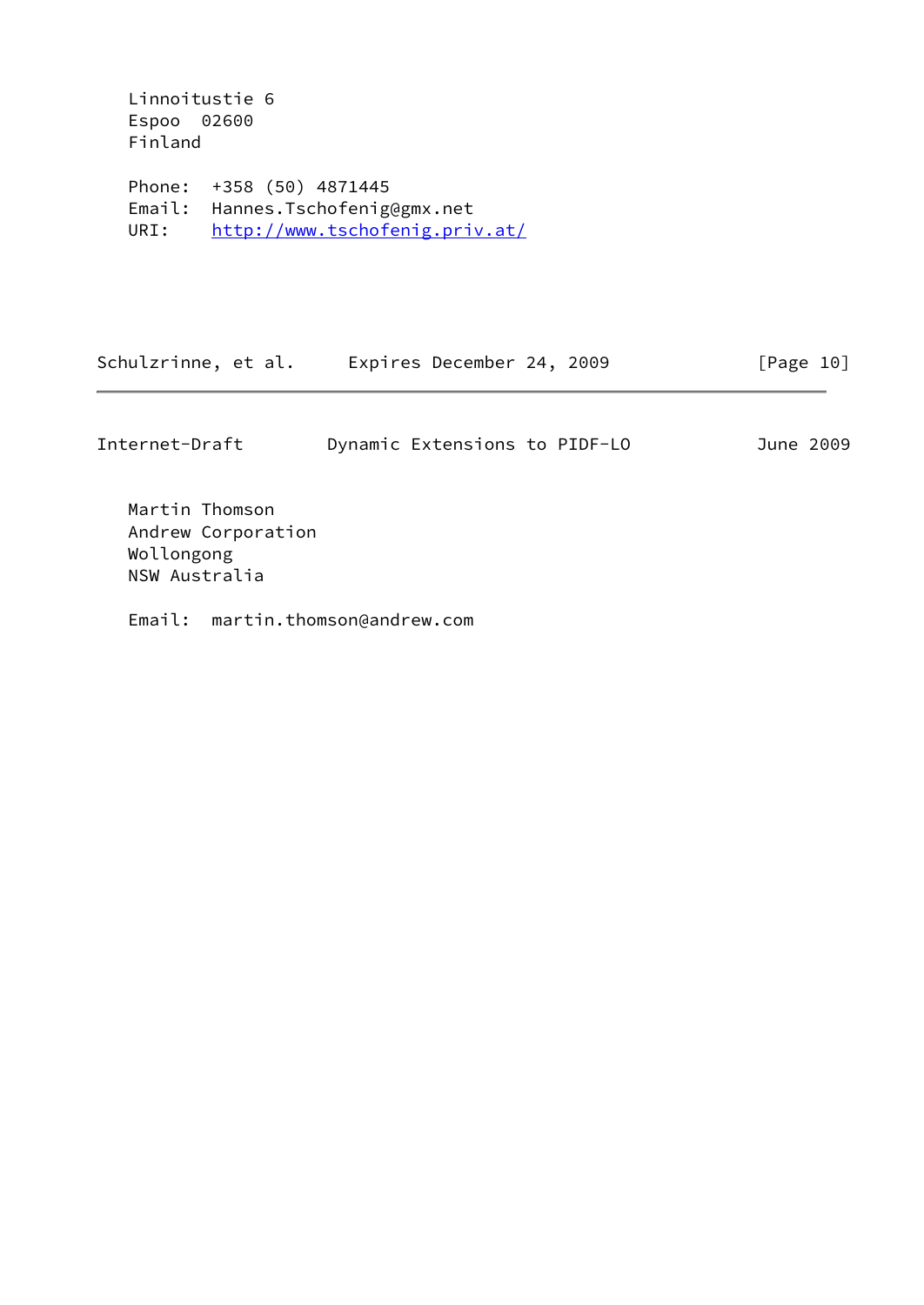Linnoitustie 6 Espoo 02600 Finland

 Phone: +358 (50) 4871445 Email: Hannes.Tschofenig@gmx.net URI: <http://www.tschofenig.priv.at/>

| Schulzrinne, et al. | Expires December 24, 2009 | [Page 10] |
|---------------------|---------------------------|-----------|
|---------------------|---------------------------|-----------|

| Internet-Draft |  | Dynamic Extensions to PIDF-LO |  |  |  | June 2009 |
|----------------|--|-------------------------------|--|--|--|-----------|
|----------------|--|-------------------------------|--|--|--|-----------|

 Martin Thomson Andrew Corporation Wollongong NSW Australia

Email: martin.thomson@andrew.com